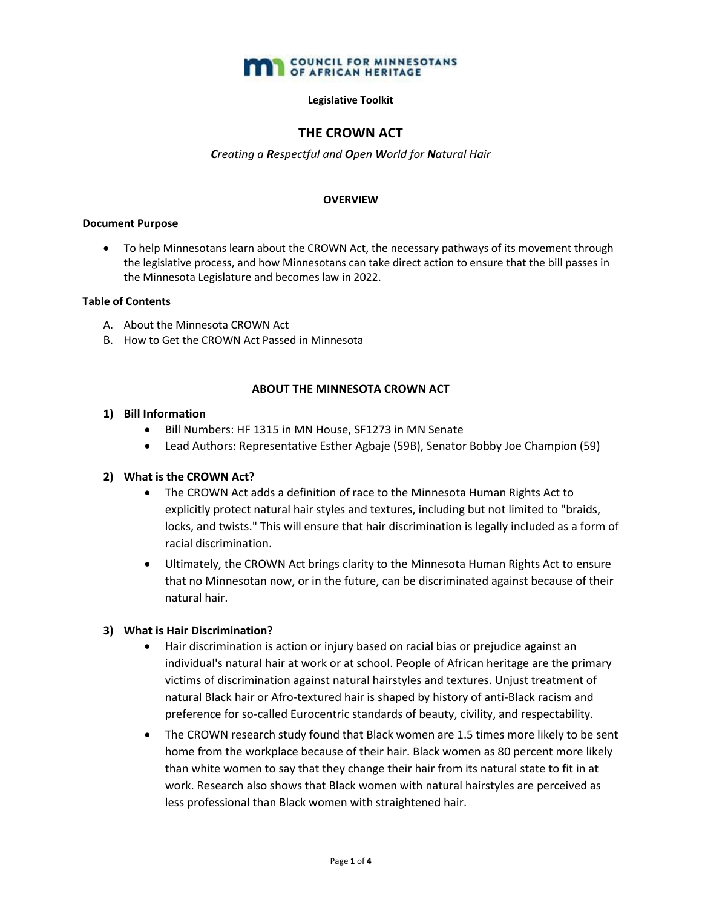

### **Legislative Toolkit**

# **THE CROWN ACT**

## *Creating a Respectful and Open World for Natural Hair*

### **OVERVIEW**

#### **Document Purpose**

• To help Minnesotans learn about the CROWN Act, the necessary pathways of its movement through the legislative process, and how Minnesotans can take direct action to ensure that the bill passes in the Minnesota Legislature and becomes law in 2022.

## **Table of Contents**

- A. About the Minnesota CROWN Act
- B. How to Get the CROWN Act Passed in Minnesota

## **ABOUT THE MINNESOTA CROWN ACT**

## **1) Bill Information**

- Bill Numbers: HF 1315 in MN House, SF1273 in MN Senate
- Lead Authors: Representative Esther Agbaje (59B), Senator Bobby Joe Champion (59)

## **2) What is the CROWN Act?**

- The CROWN Act adds a definition of race to the Minnesota Human Rights Act to explicitly protect natural hair styles and textures, including but not limited to "braids, locks, and twists." This will ensure that hair discrimination is legally included as a form of racial discrimination.
- Ultimately, the CROWN Act brings clarity to the Minnesota Human Rights Act to ensure that no Minnesotan now, or in the future, can be discriminated against because of their natural hair.

## **3) What is Hair Discrimination?**

- Hair discrimination is action or injury based on racial bias or prejudice against an individual's natural hair at work or at school. People of African heritage are the primary victims of discrimination against natural hairstyles and textures. Unjust treatment of natural Black hair or Afro-textured hair is shaped by history of anti-Black racism and preference for so-called Eurocentric standards of beauty, civility, and respectability.
- The CROWN research study found that Black women are 1.5 times more likely to be sent home from the workplace because of their hair. Black women as 80 percent more likely than white women to say that they change their hair from its natural state to fit in at work. Research also shows that Black women with natural hairstyles are perceived as less professional than Black women with straightened hair.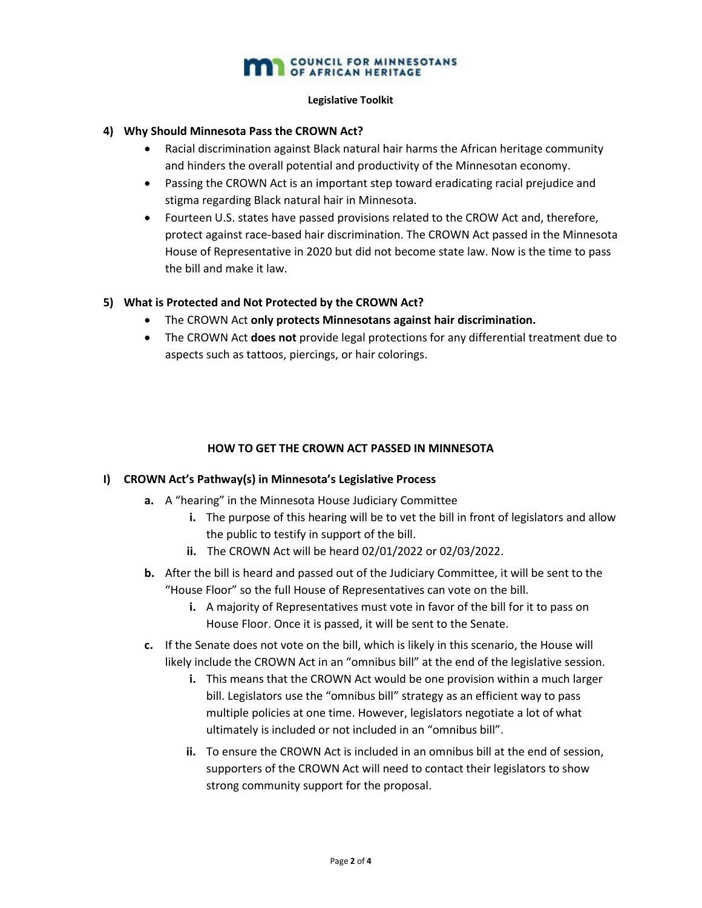# **COUNCIL FOR MINNESOTANS**

### **Legislative Toolkit**

## **4) Why Should Minnesota Pass the CROWN Act?**

- Racial discrimination against Black natural hair harms the African heritage community and hinders the overall potential and productivity of the Minnesotan economy.
- Passing the CROWN Act is an important step toward eradicating racial prejudice and stigma regarding Black natural hair in Minnesota.
- Fourteen U.S. states have passed provisions related to the CROW Act and, therefore, protect against race-based hair discrimination. The CROWN Act passed in the Minnesota House of Representative in 2020 but did not become state law. Now is the time to pass the bill and make it law.

## **5) What is Protected and Not Protected by the CROWN Act?**

- The CROWN Act **only protects Minnesotans against hair discrimination.**
- The CROWN Act **does not** provide legal protections for any differential treatment due to aspects such as tattoos, piercings, or hair colorings.

# **HOW TO GET THE CROWN ACT PASSED IN MINNESOTA**

## **I) CROWN Act's Pathway(s) in Minnesota's Legislative Process**

- **a.** A "hearing" in the Minnesota House Judiciary Committee
	- **i.** The purpose of this hearing will be to vet the bill in front of legislators and allow the public to testify in support of the bill.
	- **ii.** The CROWN Act will be heard 02/01/2022 or 02/03/2022.
- **b.** After the bill is heard and passed out of the Judiciary Committee, it will be sent to the "House Floor" so the full House of Representatives can vote on the bill.
	- **i.** A majority of Representatives must vote in favor of the bill for it to pass on House Floor. Once it is passed, it will be sent to the Senate.
- **c.** If the Senate does not vote on the bill, which is likely in this scenario, the House will likely include the CROWN Act in an "omnibus bill" at the end of the legislative session.
	- **i.** This means that the CROWN Act would be one provision within a much larger bill. Legislators use the "omnibus bill" strategy as an efficient way to pass multiple policies at one time. However, legislators negotiate a lot of what ultimately is included or not included in an "omnibus bill".
	- **ii.** To ensure the CROWN Act is included in an omnibus bill at the end of session, supporters of the CROWN Act will need to contact their legislators to show strong community support for the proposal.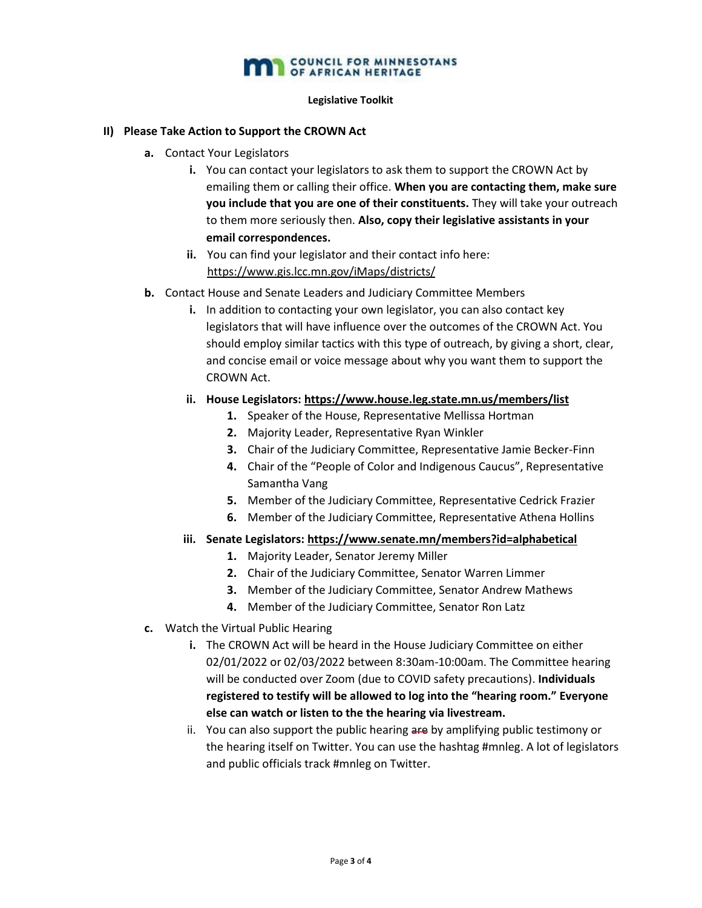# **COUNCIL FOR MINNESOTANS**

### **Legislative Toolkit**

## **II) Please Take Action to Support the CROWN Act**

- **a.** Contact Your Legislators
	- **i.** You can contact your legislators to ask them to support the CROWN Act by emailing them or calling their office. **When you are contacting them, make sure you include that you are one of their constituents.** They will take your outreach to them more seriously then. **Also, copy their legislative assistants in your email correspondences.**
	- **ii.** You can find your legislator and their contact info here: <https://www.gis.lcc.mn.gov/iMaps/districts/>
- **b.** Contact House and Senate Leaders and Judiciary Committee Members
	- **i.** In addition to contacting your own legislator, you can also contact key legislators that will have influence over the outcomes of the CROWN Act. You should employ similar tactics with this type of outreach, by giving a short, clear, and concise email or voice message about why you want them to support the CROWN Act.
	- **ii. House Legislators:<https://www.house.leg.state.mn.us/members/list>**
		- **1.** Speaker of the House, Representative Mellissa Hortman
		- **2.** Majority Leader, Representative Ryan Winkler
		- **3.** Chair of the Judiciary Committee, Representative Jamie Becker-Finn
		- **4.** Chair of the "People of Color and Indigenous Caucus", Representative Samantha Vang
		- **5.** Member of the Judiciary Committee, Representative Cedrick Frazier
		- **6.** Member of the Judiciary Committee, Representative Athena Hollins
	- **iii. Senate Legislators: [https://www.senate.mn/members?id=alphabetical](https://gcc02.safelinks.protection.outlook.com/?url=https%3A%2F%2Fwww.senate.mn%2Fmembers%3Fid%3Dalphabetical&data=04%7C01%7CTheo.Rose%40state.mn.us%7C3437a9d5bf0241305f4308d9dd104093%7Ceb14b04624c445198f26b89c2159828c%7C0%7C0%7C637783884128665861%7CUnknown%7CTWFpbGZsb3d8eyJWIjoiMC4wLjAwMDAiLCJQIjoiV2luMzIiLCJBTiI6Ik1haWwiLCJXVCI6Mn0%3D%7C3000&sdata=8Nvtzf5ke7owgTaaG7CvkXfgNltJ%2FMSefCkgfRZv0HU%3D&reserved=0)**
		- **1.** Majority Leader, Senator Jeremy Miller
		- **2.** Chair of the Judiciary Committee, Senator Warren Limmer
		- **3.** Member of the Judiciary Committee, Senator Andrew Mathews
		- **4.** Member of the Judiciary Committee, Senator Ron Latz
- **c.** Watch the Virtual Public Hearing
	- **i.** The CROWN Act will be heard in the House Judiciary Committee on either 02/01/2022 or 02/03/2022 between 8:30am-10:00am. The Committee hearing will be conducted over Zoom (due to COVID safety precautions). **Individuals registered to testify will be allowed to log into the "hearing room." Everyone else can watch or listen to the the hearing via livestream.**
	- ii. You can also support the public hearing are by amplifying public testimony or the hearing itself on Twitter. You can use the hashtag #mnleg. A lot of legislators and public officials track #mnleg on Twitter.